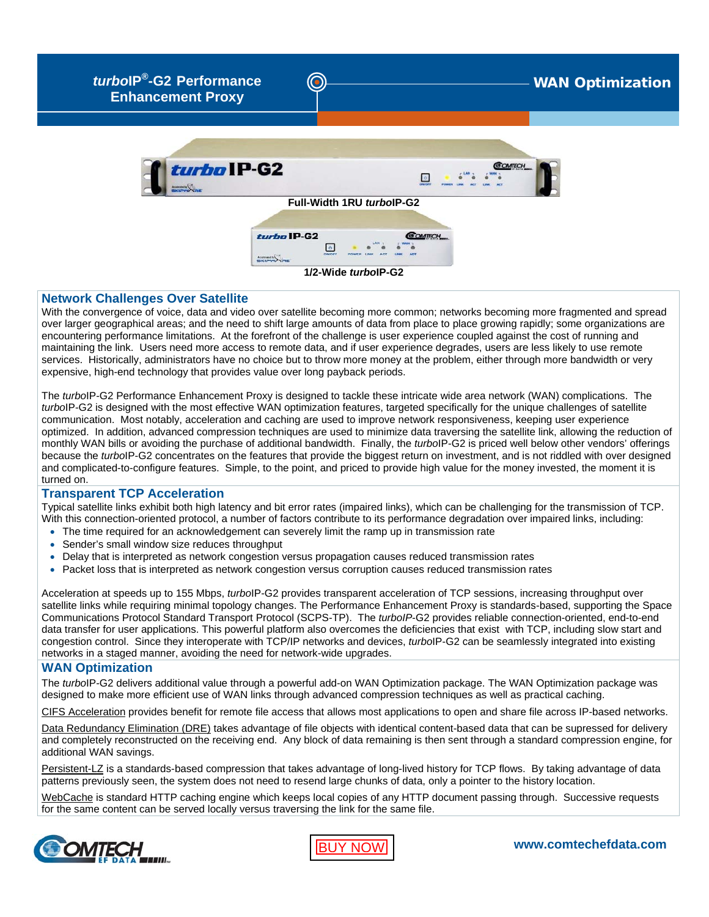

*turbo***IP** WAN Optimization **®-G2 Performance Enhancement Proxy**



## **Network Challenges Over Satellite**

With the convergence of voice, data and video over satellite becoming more common; networks becoming more fragmented and spread over larger geographical areas; and the need to shift large amounts of data from place to place growing rapidly; some organizations are encountering performance limitations. At the forefront of the challenge is user experience coupled against the cost of running and maintaining the link. Users need more access to remote data, and if user experience degrades, users are less likely to use remote services. Historically, administrators have no choice but to throw more money at the problem, either through more bandwidth or very expensive, high-end technology that provides value over long payback periods.

The *turbo*IP-G2 Performance Enhancement Proxy is designed to tackle these intricate wide area network (WAN) complications. The *turbo*IP-G2 is designed with the most effective WAN optimization features, targeted specifically for the unique challenges of satellite communication. Most notably, acceleration and caching are used to improve network responsiveness, keeping user experience optimized. In addition, advanced compression techniques are used to minimize data traversing the satellite link, allowing the reduction of monthly WAN bills or avoiding the purchase of additional bandwidth. Finally, the *turbo*IP-G2 is priced well below other vendors' offerings because the *turbo*IP-G2 concentrates on the features that provide the biggest return on investment, and is not riddled with over designed and complicated-to-configure features. Simple, to the point, and priced to provide high value for the money invested, the moment it is turned on.

### **Transparent TCP Acceleration**

Typical satellite links exhibit both high latency and bit error rates (impaired links), which can be challenging for the transmission of TCP. With this connection-oriented protocol, a number of factors contribute to its performance degradation over impaired links, including:

- The time required for an acknowledgement can severely limit the ramp up in transmission rate
- Sender's small window size reduces throughput
- Delay that is interpreted as network congestion versus propagation causes reduced transmission rates
- Packet loss that is interpreted as network congestion versus corruption causes reduced transmission rates

Acceleration at speeds up to 155 Mbps, *turbo*IP-G2 provides transparent acceleration of TCP sessions, increasing throughput over satellite links while requiring minimal topology changes. The Performance Enhancement Proxy is standards-based, supporting the Space Communications Protocol Standard Transport Protocol (SCPS-TP). The *turboIP*-G2 provides reliable connection-oriented, end-to-end data transfer for user applications. This powerful platform also overcomes the deficiencies that exist with TCP, including slow start and congestion control. Since they interoperate with TCP/IP networks and devices, *turbo*IP-G2 can be seamlessly integrated into existing networks in a staged manner, avoiding the need for network-wide upgrades.

# **WAN Optimization**

The *turbo*IP-G2 delivers additional value through a powerful add-on WAN Optimization package. The WAN Optimization package was designed to make more efficient use of WAN links through advanced compression techniques as well as practical caching.

CIFS Acceleration provides benefit for remote file access that allows most applications to open and share file across IP-based networks.

Data Redundancy Elimination (DRE) takes advantage of file objects with identical content-based data that can be supressed for delivery and completely reconstructed on the receiving end. Any block of data remaining is then sent through a standard compression engine, for additional WAN savings.

Persistent-LZ is a standards-based compression that takes advantage of long-lived history for TCP flows. By taking advantage of data patterns previously seen, the system does not need to resend large chunks of data, only a pointer to the history location.

WebCache is standard HTTP caching engine which keeps local copies of any HTTP document passing through. Successive requests for the same content can be served locally versus traversing the link for the same file.



[BUY NOW](http://www.satcomresources.com/Comtech-EF-Data-turboIP-G2-Performance-Enhancement-Proxy)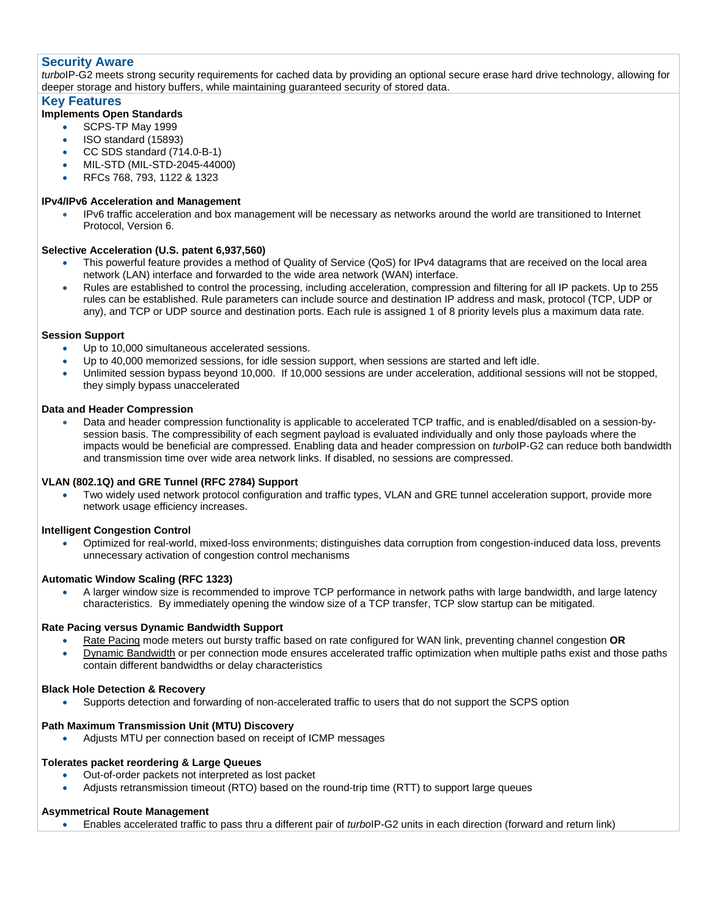## **Security Aware**

*turbo*IP-G2 meets strong security requirements for cached data by providing an optional secure erase hard drive technology, allowing for deeper storage and history buffers, while maintaining guaranteed security of stored data.

## **Key Features**

## **Implements Open Standards**

- SCPS-TP May 1999
- ISO standard (15893)
- CC SDS standard (714.0-B-1)
- MIL-STD (MIL-STD-2045-44000)
- RFCs 768, 793, 1122 & 1323

## **IPv4/IPv6 Acceleration and Management**

• IPv6 traffic acceleration and box management will be necessary as networks around the world are transitioned to Internet Protocol, Version 6.

## **Selective Acceleration (U.S. patent 6,937,560)**

- This powerful feature provides a method of Quality of Service (QoS) for IPv4 datagrams that are received on the local area network (LAN) interface and forwarded to the wide area network (WAN) interface.
- Rules are established to control the processing, including acceleration, compression and filtering for all IP packets. Up to 255 rules can be established. Rule parameters can include source and destination IP address and mask, protocol (TCP, UDP or any), and TCP or UDP source and destination ports. Each rule is assigned 1 of 8 priority levels plus a maximum data rate.

## **Session Support**

- Up to 10,000 simultaneous accelerated sessions.
- Up to 40,000 memorized sessions, for idle session support, when sessions are started and left idle.
- Unlimited session bypass beyond 10,000. If 10,000 sessions are under acceleration, additional sessions will not be stopped, they simply bypass unaccelerated

### **Data and Header Compression**

• Data and header compression functionality is applicable to accelerated TCP traffic, and is enabled/disabled on a session-bysession basis. The compressibility of each segment payload is evaluated individually and only those payloads where the impacts would be beneficial are compressed. Enabling data and header compression on *turbo*IP-G2 can reduce both bandwidth and transmission time over wide area network links. If disabled, no sessions are compressed.

## **VLAN (802.1Q) and GRE Tunnel (RFC 2784) Support**

• Two widely used network protocol configuration and traffic types, VLAN and GRE tunnel acceleration support, provide more network usage efficiency increases.

#### **Intelligent Congestion Control**

• Optimized for real-world, mixed-loss environments; distinguishes data corruption from congestion-induced data loss, prevents unnecessary activation of congestion control mechanisms

#### **Automatic Window Scaling (RFC 1323)**

• A larger window size is recommended to improve TCP performance in network paths with large bandwidth, and large latency characteristics. By immediately opening the window size of a TCP transfer, TCP slow startup can be mitigated.

#### **Rate Pacing versus Dynamic Bandwidth Support**

- Rate Pacing mode meters out bursty traffic based on rate configured for WAN link, preventing channel congestion **OR**
- Dynamic Bandwidth or per connection mode ensures accelerated traffic optimization when multiple paths exist and those paths contain different bandwidths or delay characteristics

#### **Black Hole Detection & Recovery**

• Supports detection and forwarding of non-accelerated traffic to users that do not support the SCPS option

## **Path Maximum Transmission Unit (MTU) Discovery**

• Adjusts MTU per connection based on receipt of ICMP messages

#### **Tolerates packet reordering & Large Queues**

- Out-of-order packets not interpreted as lost packet
- Adjusts retransmission timeout (RTO) based on the round-trip time (RTT) to support large queues

## **Asymmetrical Route Management**

• Enables accelerated traffic to pass thru a different pair of *turbo*IP-G2 units in each direction (forward and return link)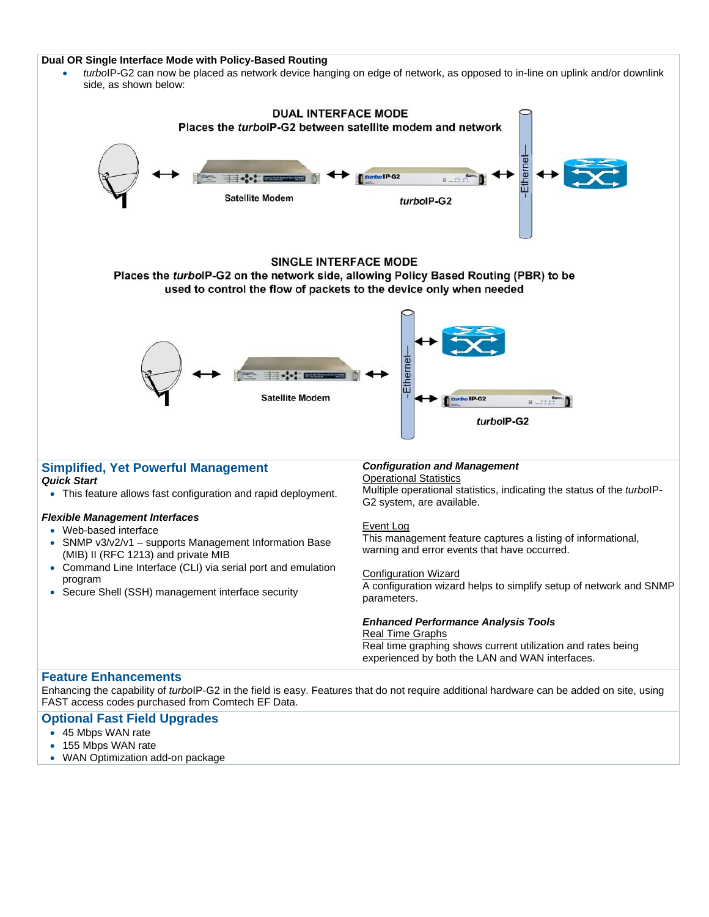#### **Dual OR Single Interface Mode with Policy-Based Routing**

• *turbo*IP-G2 can now be placed as network device hanging on edge of network, as opposed to in-line on uplink and/or downlink side, as shown below:



Enhancing the capability of *turbo*IP-G2 in the field is easy. Features that do not require additional hardware can be added on site, using FAST access codes purchased from Comtech EF Data.

## **Optional Fast Field Upgrades**

- 45 Mbps WAN rate
- 155 Mbps WAN rate
- WAN Optimization add-on package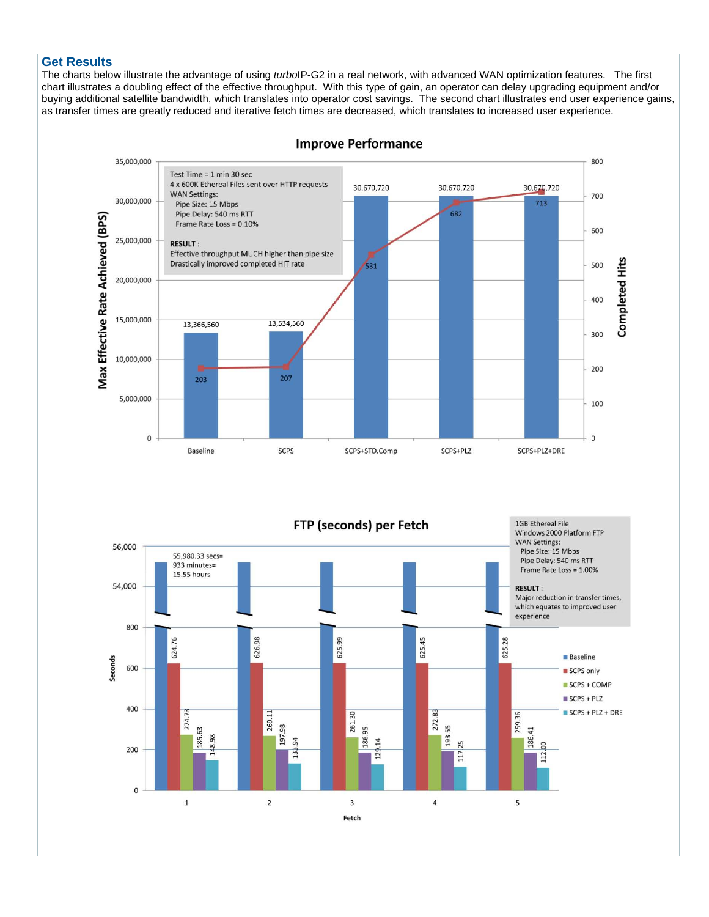## **Get Results**

The charts below illustrate the advantage of using *turbo*IP-G2 in a real network, with advanced WAN optimization features. The first chart illustrates a doubling effect of the effective throughput. With this type of gain, an operator can delay upgrading equipment and/or buying additional satellite bandwidth, which translates into operator cost savings. The second chart illustrates end user experience gains, as transfer times are greatly reduced and iterative fetch times are decreased, which translates to increased user experience.



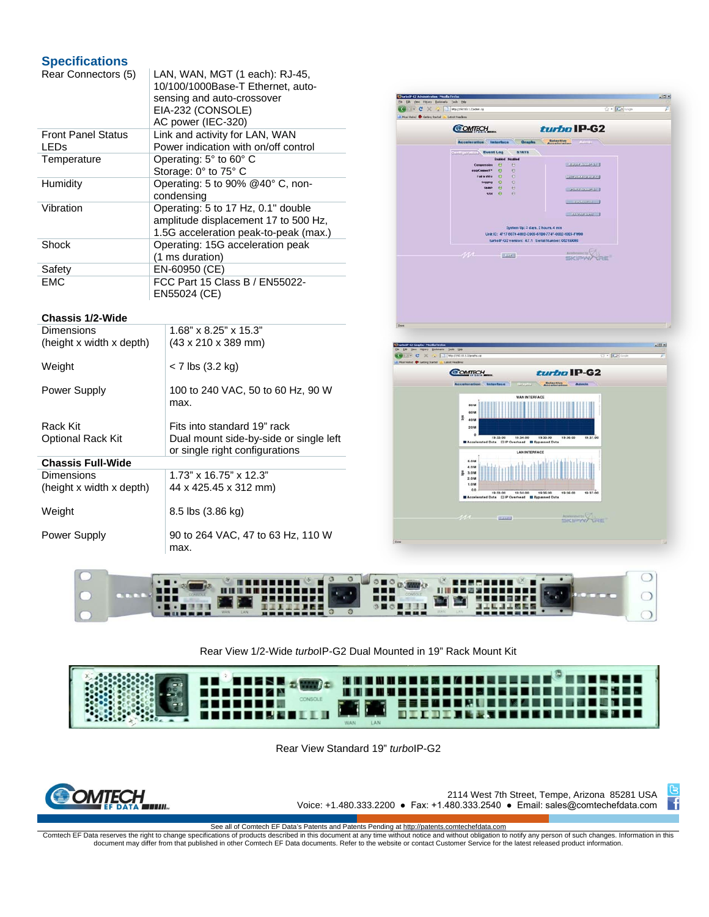# **Specifications**

| Rear Connectors (5)       | LAN, WAN, MGT (1 each): RJ-45,<br>10/100/1000Base-T Ethernet, auto-<br>sensing and auto-crossover<br>EIA-232 (CONSOLE)<br>AC power (IEC-320) |
|---------------------------|----------------------------------------------------------------------------------------------------------------------------------------------|
| <b>Front Panel Status</b> | Link and activity for LAN, WAN                                                                                                               |
| <b>LEDs</b>               | Power indication with on/off control                                                                                                         |
| Temperature               | Operating: $5^{\circ}$ to $60^{\circ}$ C                                                                                                     |
|                           | Storage: 0° to 75° C                                                                                                                         |
| Humidity                  | Operating: 5 to 90% @40° C, non-                                                                                                             |
|                           | condensing                                                                                                                                   |
| Vibration                 | Operating: 5 to 17 Hz, 0.1" double                                                                                                           |
|                           | amplitude displacement 17 to 500 Hz,                                                                                                         |
|                           | 1.5G acceleration peak-to-peak (max.)                                                                                                        |
| Shock                     | Operating: 15G acceleration peak                                                                                                             |
|                           | (1 ms duration)                                                                                                                              |
| Safety                    | EN-60950 (CE)                                                                                                                                |
| <b>EMC</b>                | FCC Part 15 Class B / EN55022-                                                                                                               |
|                           | EN55024 (CE)                                                                                                                                 |

#### **Chassis 1/2-Wide**

| Dimensions               | $1.68" \times 8.25" \times 15.3"$       |
|--------------------------|-----------------------------------------|
| (height x width x depth) | $(43 \times 210 \times 389 \text{ mm})$ |
|                          |                                         |
| Weight                   | < 7 lbs (3.2 kg)                        |
|                          |                                         |
| Power Supply             | 100 to 240 VAC, 50 to 60 Hz, 90 W       |
|                          | max.                                    |
|                          |                                         |
| Rack Kit                 | Fits into standard 19" rack             |
| <b>Optional Rack Kit</b> | Dual mount side-by-side or single left  |
|                          |                                         |
|                          | or single right configurations          |
| <b>Chassis Full-Wide</b> |                                         |
| Dimensions               | $1.73$ " x 16.75" x 12.3"               |
| (height x width x depth) | 44 x 425.45 x 312 mm)                   |
|                          |                                         |
| Weight                   | 8.5 lbs (3.86 kg)                       |
|                          |                                         |
| Power Supply             | 90 to 264 VAC, 47 to 63 Hz, 110 W       |
|                          | max.                                    |
|                          |                                         |







## Rear View 1/2-Wide *turbo*IP-G2 Dual Mounted in 19" Rack Mount Kit



Rear View Standard 19" *turbo*IP-G2



2114 West 7th Street, Tempe, Arizona 85281 USA Voice: +1.480.333.2200 ● Fax: +1.480.333.2540 ● Email: sales@comtechefdata.com

ઉ  $\mathsf{H}$ 

See all of Comtech EF Data's Patents and Patents Pending at http://patents.comtechefdata.com<br>Comtech EF Data reserves the right to change specifications of products described in this document at any time without notice and

document may differ from that published in other Comtech EF Data documents. Refer to the website or contact Customer Service for the latest released product information.